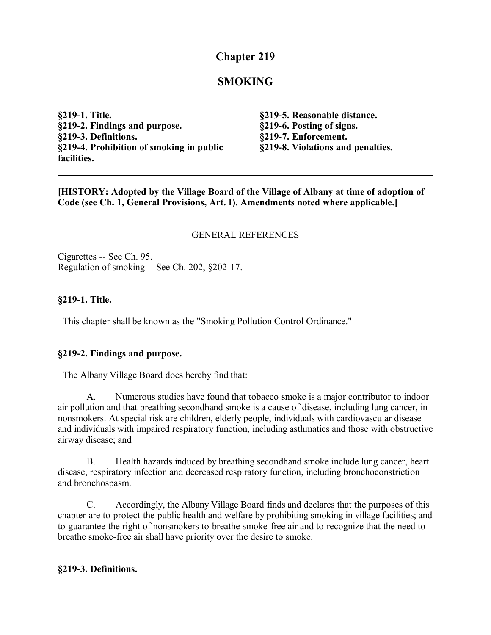# **Chapter 219**

# **SMOKING**

**§219-1. Title. §219-2. Findings and purpose. §219-3. Definitions. §219-4. Prohibition of smoking in public facilities.**

**§219-5. Reasonable distance. §219-6. Posting of signs. §219-7. Enforcement. §219-8. Violations and penalties.**

**[HISTORY: Adopted by the Village Board of the Village of Albany at time of adoption of Code (see Ch. 1, General Provisions, Art. I). Amendments noted where applicable.]**

#### GENERAL REFERENCES

Cigarettes -- See Ch. 95. Regulation of smoking -- See Ch. 202, §202-17.

#### **§219-1. Title.**

This chapter shall be known as the "Smoking Pollution Control Ordinance."

#### **§219-2. Findings and purpose.**

The Albany Village Board does hereby find that:

A. Numerous studies have found that tobacco smoke is a major contributor to indoor air pollution and that breathing secondhand smoke is a cause of disease, including lung cancer, in nonsmokers. At special risk are children, elderly people, individuals with cardiovascular disease and individuals with impaired respiratory function, including asthmatics and those with obstructive airway disease; and

B. Health hazards induced by breathing secondhand smoke include lung cancer, heart disease, respiratory infection and decreased respiratory function, including bronchoconstriction and bronchospasm.

C. Accordingly, the Albany Village Board finds and declares that the purposes of this chapter are to protect the public health and welfare by prohibiting smoking in village facilities; and to guarantee the right of nonsmokers to breathe smoke-free air and to recognize that the need to breathe smoke-free air shall have priority over the desire to smoke.

#### **§219-3. Definitions.**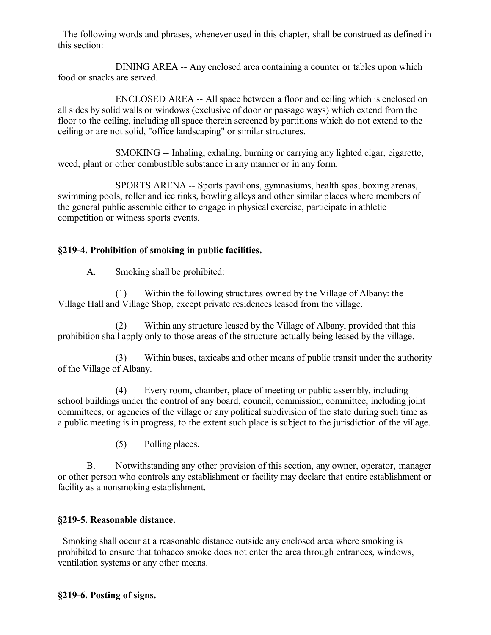The following words and phrases, whenever used in this chapter, shall be construed as defined in this section:

DINING AREA -- Any enclosed area containing a counter or tables upon which food or snacks are served.

ENCLOSED AREA -- All space between a floor and ceiling which is enclosed on all sides by solid walls or windows (exclusive of door or passage ways) which extend from the floor to the ceiling, including all space therein screened by partitions which do not extend to the ceiling or are not solid, "office landscaping" or similar structures.

SMOKING -- Inhaling, exhaling, burning or carrying any lighted cigar, cigarette, weed, plant or other combustible substance in any manner or in any form.

SPORTS ARENA -- Sports pavilions, gymnasiums, health spas, boxing arenas, swimming pools, roller and ice rinks, bowling alleys and other similar places where members of the general public assemble either to engage in physical exercise, participate in athletic competition or witness sports events.

## **§219-4. Prohibition of smoking in public facilities.**

A. Smoking shall be prohibited:

(1) Within the following structures owned by the Village of Albany: the Village Hall and Village Shop, except private residences leased from the village.

(2) Within any structure leased by the Village of Albany, provided that this prohibition shall apply only to those areas of the structure actually being leased by the village.

(3) Within buses, taxicabs and other means of public transit under the authority of the Village of Albany.

(4) Every room, chamber, place of meeting or public assembly, including school buildings under the control of any board, council, commission, committee, including joint committees, or agencies of the village or any political subdivision of the state during such time as a public meeting is in progress, to the extent such place is subject to the jurisdiction of the village.

(5) Polling places.

B. Notwithstanding any other provision of this section, any owner, operator, manager or other person who controls any establishment or facility may declare that entire establishment or facility as a nonsmoking establishment.

### **§219-5. Reasonable distance.**

 Smoking shall occur at a reasonable distance outside any enclosed area where smoking is prohibited to ensure that tobacco smoke does not enter the area through entrances, windows, ventilation systems or any other means.